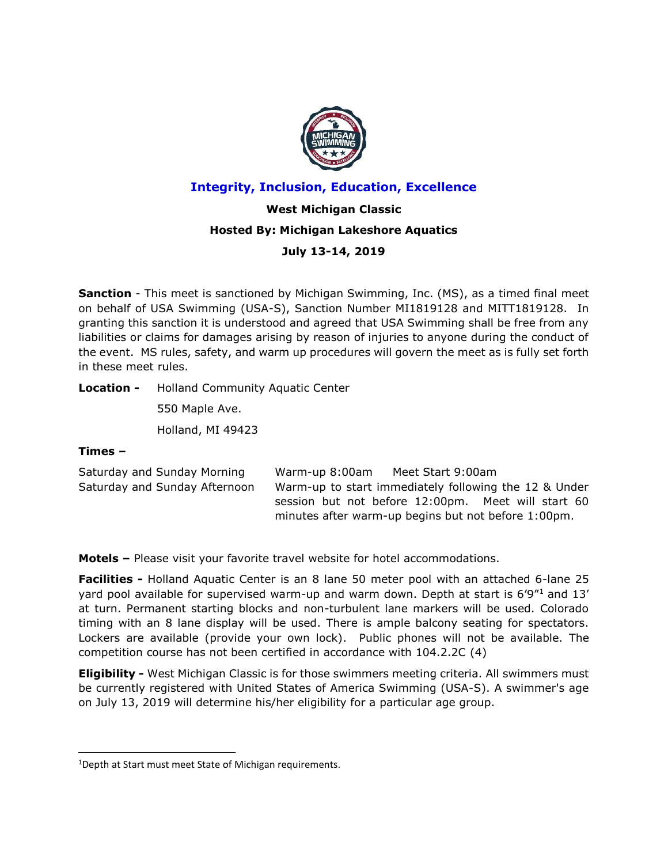

# **Integrity, Inclusion, Education, Excellence**

# **West Michigan Classic Hosted By: Michigan Lakeshore Aquatics**

# **July 13-14, 2019**

**Sanction** - This meet is sanctioned by Michigan Swimming, Inc. (MS), as a timed final meet on behalf of USA Swimming (USA-S), Sanction Number MI1819128 and MITT1819128. In granting this sanction it is understood and agreed that USA Swimming shall be free from any liabilities or claims for damages arising by reason of injuries to anyone during the conduct of the event. MS rules, safety, and warm up procedures will govern the meet as is fully set forth in these meet rules.

**Location -** Holland Community Aquatic Center

550 Maple Ave.

Holland, MI 49423

# **Times –**

 $\overline{a}$ 

| Saturday and Sunday Morning   | Warm-up 8:00am                                      | Meet Start 9:00am                                     |  |
|-------------------------------|-----------------------------------------------------|-------------------------------------------------------|--|
| Saturday and Sunday Afternoon |                                                     | Warm-up to start immediately following the 12 & Under |  |
|                               |                                                     | session but not before 12:00pm. Meet will start 60    |  |
|                               | minutes after warm-up begins but not before 1:00pm. |                                                       |  |
|                               |                                                     |                                                       |  |

**Motels –** Please visit your favorite travel website for hotel accommodations.

**Facilities -** Holland Aquatic Center is an 8 lane 50 meter pool with an attached 6-lane 25 yard pool available for supervised warm-up and warm down. Depth at start is 6'9"<sup>1</sup> and 13' at turn. Permanent starting blocks and non-turbulent lane markers will be used. Colorado timing with an 8 lane display will be used. There is ample balcony seating for spectators. Lockers are available (provide your own lock). Public phones will not be available. The competition course has not been certified in accordance with 104.2.2C (4)

**Eligibility -** West Michigan Classic is for those swimmers meeting criteria. All swimmers must be currently registered with United States of America Swimming (USA-S). A swimmer's age on July 13, 2019 will determine his/her eligibility for a particular age group.

<sup>1</sup>Depth at Start must meet State of Michigan requirements.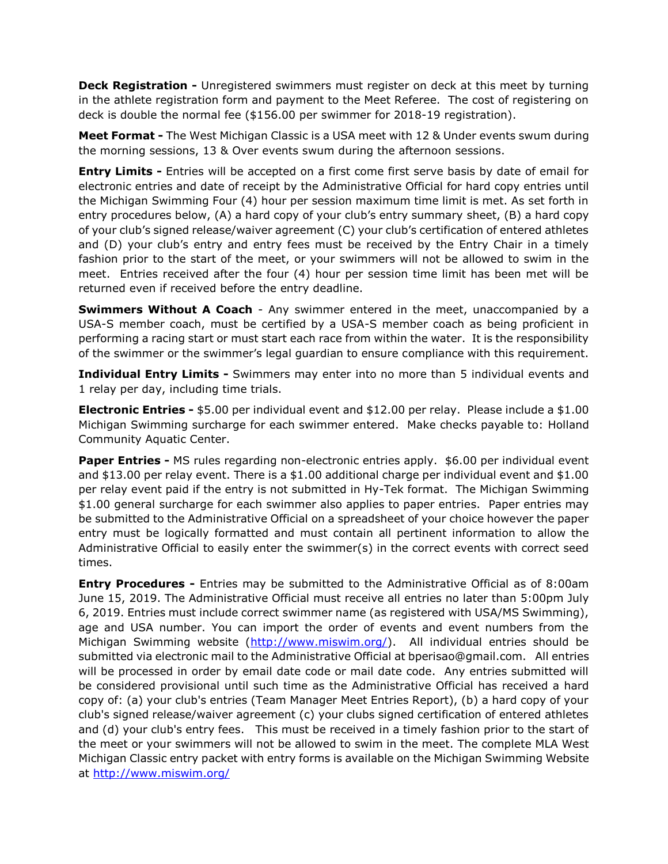**Deck Registration -** Unregistered swimmers must register on deck at this meet by turning in the athlete registration form and payment to the Meet Referee. The cost of registering on deck is double the normal fee (\$156.00 per swimmer for 2018-19 registration).

**Meet Format -** The West Michigan Classic is a USA meet with 12 & Under events swum during the morning sessions, 13 & Over events swum during the afternoon sessions.

**Entry Limits -** Entries will be accepted on a first come first serve basis by date of email for electronic entries and date of receipt by the Administrative Official for hard copy entries until the Michigan Swimming Four (4) hour per session maximum time limit is met. As set forth in entry procedures below, (A) a hard copy of your club's entry summary sheet, (B) a hard copy of your club's signed release/waiver agreement (C) your club's certification of entered athletes and (D) your club's entry and entry fees must be received by the Entry Chair in a timely fashion prior to the start of the meet, or your swimmers will not be allowed to swim in the meet. Entries received after the four (4) hour per session time limit has been met will be returned even if received before the entry deadline.

**Swimmers Without A Coach** - Any swimmer entered in the meet, unaccompanied by a USA-S member coach, must be certified by a USA-S member coach as being proficient in performing a racing start or must start each race from within the water. It is the responsibility of the swimmer or the swimmer's legal guardian to ensure compliance with this requirement.

**Individual Entry Limits -** Swimmers may enter into no more than 5 individual events and 1 relay per day, including time trials.

**Electronic Entries -** \$5.00 per individual event and \$12.00 per relay. Please include a \$1.00 Michigan Swimming surcharge for each swimmer entered. Make checks payable to: Holland Community Aquatic Center.

**Paper Entries -** MS rules regarding non-electronic entries apply. \$6.00 per individual event and \$13.00 per relay event. There is a \$1.00 additional charge per individual event and \$1.00 per relay event paid if the entry is not submitted in Hy-Tek format. The Michigan Swimming \$1.00 general surcharge for each swimmer also applies to paper entries. Paper entries may be submitted to the Administrative Official on a spreadsheet of your choice however the paper entry must be logically formatted and must contain all pertinent information to allow the Administrative Official to easily enter the swimmer(s) in the correct events with correct seed times.

**Entry Procedures -** Entries may be submitted to the Administrative Official as of 8:00am June 15, 2019. The Administrative Official must receive all entries no later than 5:00pm July 6, 2019. Entries must include correct swimmer name (as registered with USA/MS Swimming), age and USA number. You can import the order of events and event numbers from the Michigan Swimming website [\(http://www.miswim.org/\)](http://www.miswim.org/). All individual entries should be submitted via electronic mail to the Administrative Official at bperisao@gmail.com. All entries will be processed in order by email date code or mail date code. Any entries submitted will be considered provisional until such time as the Administrative Official has received a hard copy of: (a) your club's entries (Team Manager Meet Entries Report), (b) a hard copy of your club's signed release/waiver agreement (c) your clubs signed certification of entered athletes and (d) your club's entry fees. This must be received in a timely fashion prior to the start of the meet or your swimmers will not be allowed to swim in the meet. The complete MLA West Michigan Classic entry packet with entry forms is available on the Michigan Swimming Website at<http://www.miswim.org/>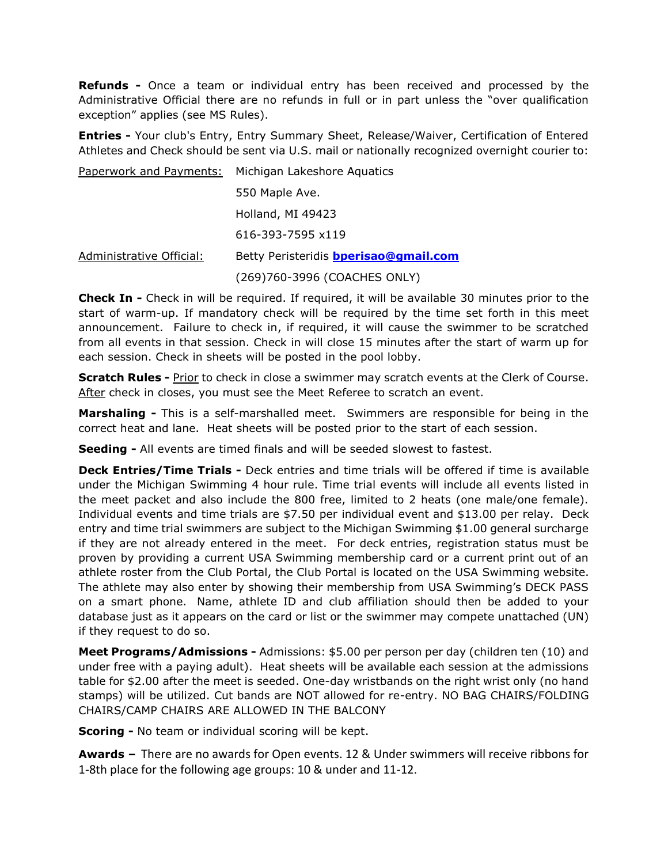**Refunds -** Once a team or individual entry has been received and processed by the Administrative Official there are no refunds in full or in part unless the "over qualification exception" applies (see MS Rules).

**Entries -** Your club's Entry, Entry Summary Sheet, Release/Waiver, Certification of Entered Athletes and Check should be sent via U.S. mail or nationally recognized overnight courier to:

Paperwork and Payments: Michigan Lakeshore Aquatics 550 Maple Ave. Holland, MI 49423 616-393-7595 x119 Administrative Official: Betty Peristeridis **[bperisao@gmail.com](mailto:bperisao@gmail.com)**  (269)760-3996 (COACHES ONLY)

**Check In -** Check in will be required. If required, it will be available 30 minutes prior to the start of warm-up. If mandatory check will be required by the time set forth in this meet announcement. Failure to check in, if required, it will cause the swimmer to be scratched from all events in that session. Check in will close 15 minutes after the start of warm up for each session. Check in sheets will be posted in the pool lobby.

**Scratch Rules -** Prior to check in close a swimmer may scratch events at the Clerk of Course. After check in closes, you must see the Meet Referee to scratch an event.

**Marshaling -** This is a self-marshalled meet. Swimmers are responsible for being in the correct heat and lane. Heat sheets will be posted prior to the start of each session.

**Seeding -** All events are timed finals and will be seeded slowest to fastest.

**Deck Entries/Time Trials -** Deck entries and time trials will be offered if time is available under the Michigan Swimming 4 hour rule. Time trial events will include all events listed in the meet packet and also include the 800 free, limited to 2 heats (one male/one female). Individual events and time trials are \$7.50 per individual event and \$13.00 per relay. Deck entry and time trial swimmers are subject to the Michigan Swimming \$1.00 general surcharge if they are not already entered in the meet. For deck entries, registration status must be proven by providing a current USA Swimming membership card or a current print out of an athlete roster from the Club Portal, the Club Portal is located on the USA Swimming website. The athlete may also enter by showing their membership from USA Swimming's DECK PASS on a smart phone. Name, athlete ID and club affiliation should then be added to your database just as it appears on the card or list or the swimmer may compete unattached (UN) if they request to do so.

**Meet Programs/Admissions -** Admissions: \$5.00 per person per day (children ten (10) and under free with a paying adult). Heat sheets will be available each session at the admissions table for \$2.00 after the meet is seeded. One-day wristbands on the right wrist only (no hand stamps) will be utilized. Cut bands are NOT allowed for re-entry. NO BAG CHAIRS/FOLDING CHAIRS/CAMP CHAIRS ARE ALLOWED IN THE BALCONY

**Scoring -** No team or individual scoring will be kept.

**Awards –** There are no awards for Open events. 12 & Under swimmers will receive ribbons for 1-8th place for the following age groups: 10 & under and 11-12.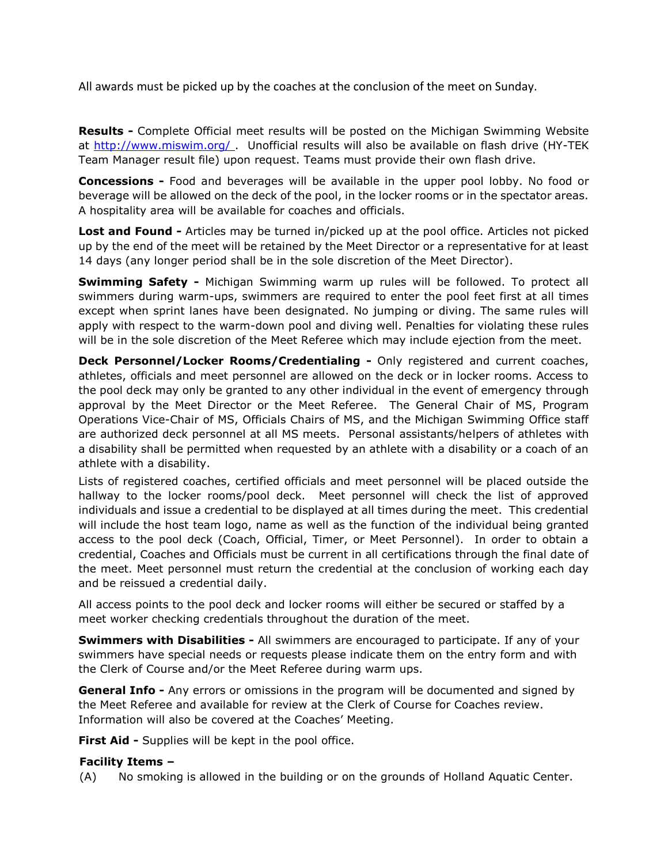All awards must be picked up by the coaches at the conclusion of the meet on Sunday.

**Results -** Complete Official meet results will be posted on the Michigan Swimming Website at<http://www.miswim.org/> . Unofficial results will also be available on flash drive (HY-TEK Team Manager result file) upon request. Teams must provide their own flash drive.

**Concessions -** Food and beverages will be available in the upper pool lobby. No food or beverage will be allowed on the deck of the pool, in the locker rooms or in the spectator areas. A hospitality area will be available for coaches and officials.

**Lost and Found -** Articles may be turned in/picked up at the pool office. Articles not picked up by the end of the meet will be retained by the Meet Director or a representative for at least 14 days (any longer period shall be in the sole discretion of the Meet Director).

**Swimming Safety -** Michigan Swimming warm up rules will be followed. To protect all swimmers during warm-ups, swimmers are required to enter the pool feet first at all times except when sprint lanes have been designated. No jumping or diving. The same rules will apply with respect to the warm-down pool and diving well. Penalties for violating these rules will be in the sole discretion of the Meet Referee which may include ejection from the meet.

**Deck Personnel/Locker Rooms/Credentialing -** Only registered and current coaches, athletes, officials and meet personnel are allowed on the deck or in locker rooms. Access to the pool deck may only be granted to any other individual in the event of emergency through approval by the Meet Director or the Meet Referee. The General Chair of MS, Program Operations Vice-Chair of MS, Officials Chairs of MS, and the Michigan Swimming Office staff are authorized deck personnel at all MS meets. Personal assistants/helpers of athletes with a disability shall be permitted when requested by an athlete with a disability or a coach of an athlete with a disability.

Lists of registered coaches, certified officials and meet personnel will be placed outside the hallway to the locker rooms/pool deck. Meet personnel will check the list of approved individuals and issue a credential to be displayed at all times during the meet. This credential will include the host team logo, name as well as the function of the individual being granted access to the pool deck (Coach, Official, Timer, or Meet Personnel). In order to obtain a credential, Coaches and Officials must be current in all certifications through the final date of the meet. Meet personnel must return the credential at the conclusion of working each day and be reissued a credential daily.

All access points to the pool deck and locker rooms will either be secured or staffed by a meet worker checking credentials throughout the duration of the meet.

**Swimmers with Disabilities -** All swimmers are encouraged to participate. If any of your swimmers have special needs or requests please indicate them on the entry form and with the Clerk of Course and/or the Meet Referee during warm ups.

**General Info -** Any errors or omissions in the program will be documented and signed by the Meet Referee and available for review at the Clerk of Course for Coaches review. Information will also be covered at the Coaches' Meeting.

**First Aid -** Supplies will be kept in the pool office.

# **Facility Items –**

(A) No smoking is allowed in the building or on the grounds of Holland Aquatic Center.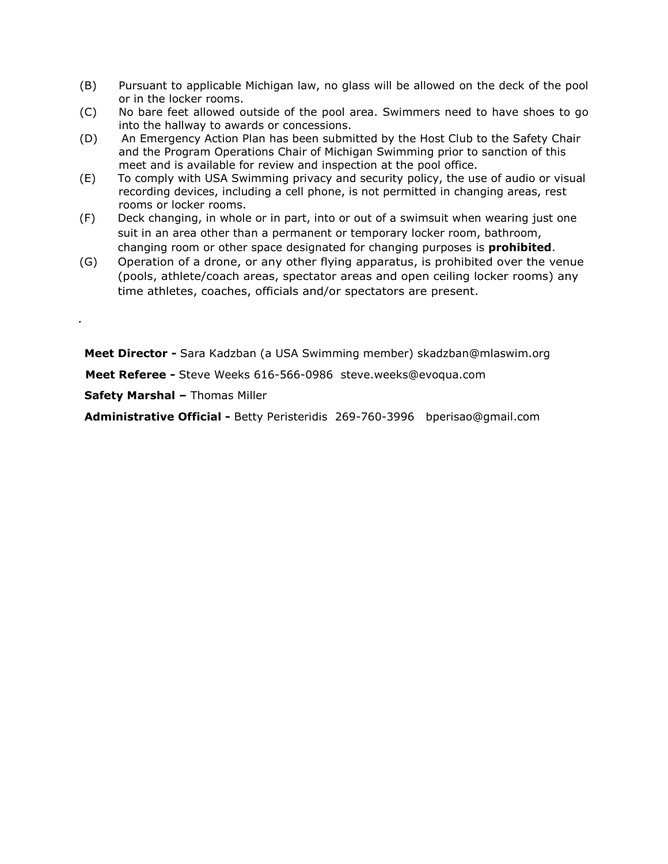- (B) Pursuant to applicable Michigan law, no glass will be allowed on the deck of the pool or in the locker rooms.
- (C) No bare feet allowed outside of the pool area. Swimmers need to have shoes to go into the hallway to awards or concessions.
- (D) An Emergency Action Plan has been submitted by the Host Club to the Safety Chair and the Program Operations Chair of Michigan Swimming prior to sanction of this meet and is available for review and inspection at the pool office.
- (E) To comply with USA Swimming privacy and security policy, the use of audio or visual recording devices, including a cell phone, is not permitted in changing areas, rest rooms or locker rooms.
- (F) Deck changing, in whole or in part, into or out of a swimsuit when wearing just one suit in an area other than a permanent or temporary locker room, bathroom, changing room or other space designated for changing purposes is **prohibited**.
- (G) Operation of a drone, or any other flying apparatus, is prohibited over the venue (pools, athlete/coach areas, spectator areas and open ceiling locker rooms) any time athletes, coaches, officials and/or spectators are present.

**Meet Director -** Sara Kadzban (a USA Swimming member) skadzban@mlaswim.org

**Meet Referee -** Steve Weeks 616-566-0986 steve.weeks@evoqua.com

**Safety Marshal –** Thomas Miller

*.*

**Administrative Official -** Betty Peristeridis 269-760-3996 bperisao@gmail.com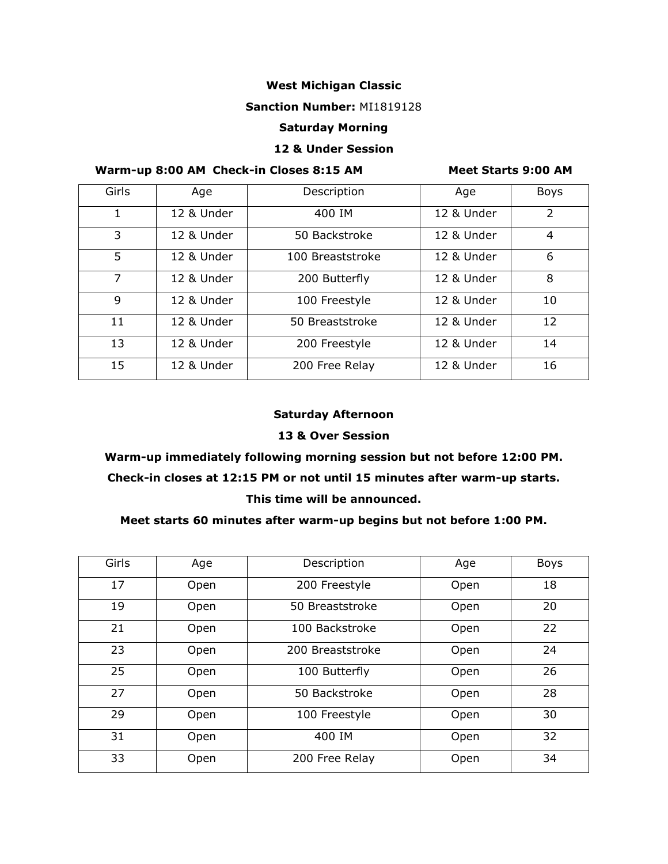### **West Michigan Classic**

#### **Sanction Number:** MI1819128

#### **Saturday Morning**

#### **12 & Under Session**

# **Warm-up 8:00 AM Check-in Closes 8:15 AM Meet Starts 9:00 AM**

| Girls | Age        | Description      | Age        | <b>Boys</b>   |  |
|-------|------------|------------------|------------|---------------|--|
| 1     | 12 & Under | 400 IM           | 12 & Under | $\mathcal{L}$ |  |
| 3     | 12 & Under | 50 Backstroke    | 12 & Under | 4             |  |
| 5     | 12 & Under | 100 Breaststroke | 12 & Under | 6             |  |
| 7     | 12 & Under | 200 Butterfly    | 12 & Under | 8             |  |
| 9     | 12 & Under | 100 Freestyle    | 12 & Under | 10            |  |
| 11    | 12 & Under | 50 Breaststroke  | 12 & Under | 12            |  |
| 13    | 12 & Under | 200 Freestyle    | 12 & Under | 14            |  |
| 15    | 12 & Under | 200 Free Relay   | 12 & Under | 16            |  |

#### **Saturday Afternoon**

#### **13 & Over Session**

# **Warm-up immediately following morning session but not before 12:00 PM.**

# **Check-in closes at 12:15 PM or not until 15 minutes after warm-up starts.**

#### **This time will be announced.**

#### **Meet starts 60 minutes after warm-up begins but not before 1:00 PM.**

| Girls | Age  | Description      | Age  | <b>Boys</b> |
|-------|------|------------------|------|-------------|
| 17    | Open | 200 Freestyle    | Open | 18          |
| 19    | Open | 50 Breaststroke  | Open | 20          |
| 21    | Open | 100 Backstroke   | Open | 22          |
| 23    | Open | 200 Breaststroke | Open | 24          |
| 25    | Open | 100 Butterfly    | Open | 26          |
| 27    | Open | 50 Backstroke    | Open | 28          |
| 29    | Open | 100 Freestyle    | Open | 30          |
| 31    | Open | 400 IM           | Open | 32          |
| 33    | Open | 200 Free Relay   | Open | 34          |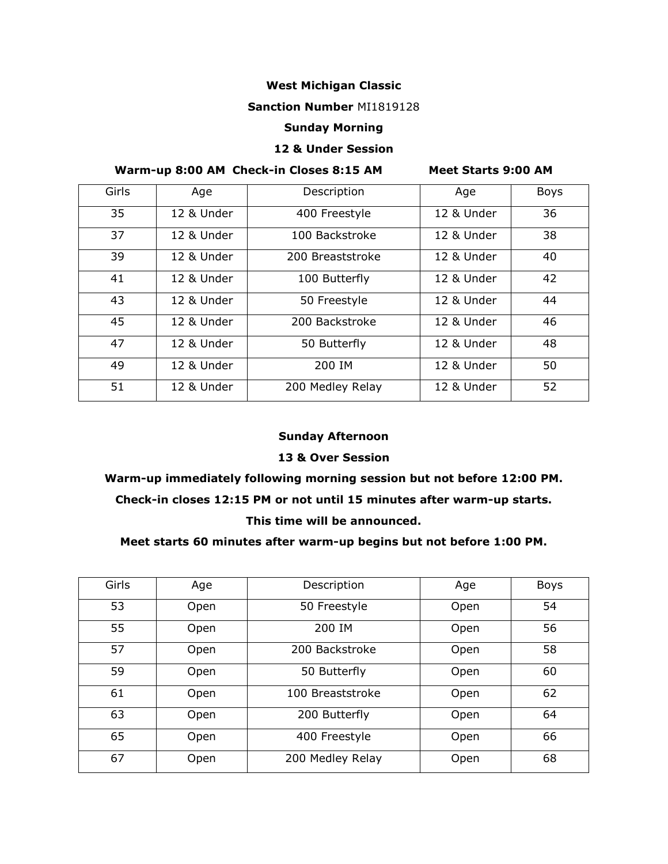# **West Michigan Classic**

#### **Sanction Number** MI1819128

#### **Sunday Morning**

#### **12 & Under Session**

# **Warm-up 8:00 AM Check-in Closes 8:15 AM Meet Starts 9:00 AM**

| Girls | Age        | Description      | Age        | <b>Boys</b> |
|-------|------------|------------------|------------|-------------|
| 35    | 12 & Under | 400 Freestyle    | 12 & Under | 36          |
| 37    | 12 & Under | 100 Backstroke   | 12 & Under | 38          |
| 39    | 12 & Under | 200 Breaststroke | 12 & Under | 40          |
| 41    | 12 & Under | 100 Butterfly    | 12 & Under | 42          |
| 43    | 12 & Under | 50 Freestyle     | 12 & Under | 44          |
| 45    | 12 & Under | 200 Backstroke   | 12 & Under | 46          |
| 47    | 12 & Under | 50 Butterfly     | 12 & Under | 48          |
| 49    | 12 & Under | 200 IM           | 12 & Under | 50          |
| 51    | 12 & Under | 200 Medley Relay | 12 & Under | 52          |

# **Sunday Afternoon**

#### **13 & Over Session**

# **Warm-up immediately following morning session but not before 12:00 PM. Check-in closes 12:15 PM or not until 15 minutes after warm-up starts. This time will be announced.**

#### **Meet starts 60 minutes after warm-up begins but not before 1:00 PM.**

| Girls | Age  | Description      | Age  | Boys |
|-------|------|------------------|------|------|
| 53    | Open | 50 Freestyle     | Open | 54   |
| 55    | Open | 200 IM           | Open | 56   |
| 57    | Open | 200 Backstroke   | Open | 58   |
| 59    | Open | 50 Butterfly     | Open | 60   |
| 61    | Open | 100 Breaststroke | Open | 62   |
| 63    | Open | 200 Butterfly    | Open | 64   |
| 65    | Open | 400 Freestyle    | Open | 66   |
| 67    | Open | 200 Medley Relay | Open | 68   |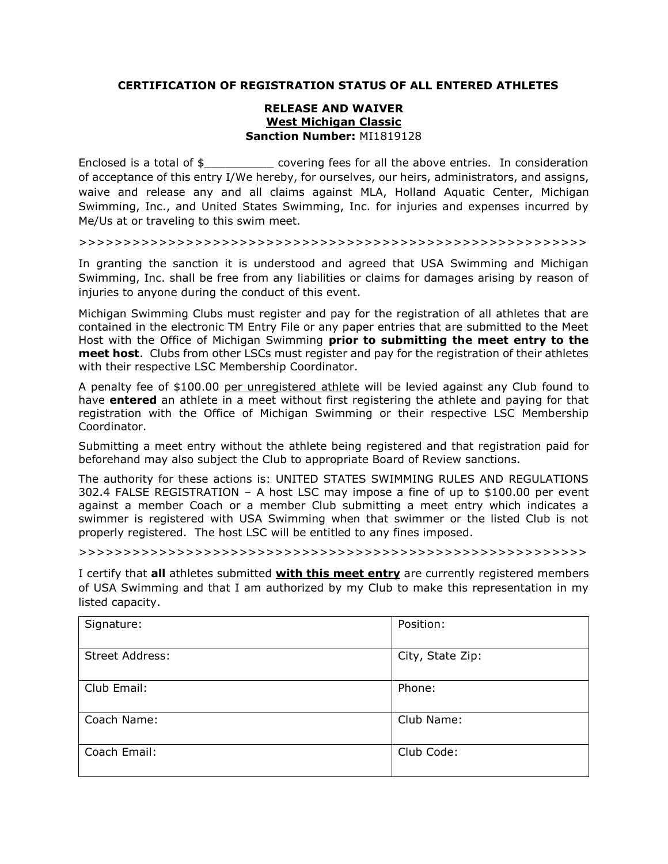#### **CERTIFICATION OF REGISTRATION STATUS OF ALL ENTERED ATHLETES**

#### **RELEASE AND WAIVER West Michigan Classic Sanction Number:** MI1819128

Enclosed is a total of  $\oint$  covering fees for all the above entries. In consideration of acceptance of this entry I/We hereby, for ourselves, our heirs, administrators, and assigns, waive and release any and all claims against MLA, Holland Aquatic Center, Michigan Swimming, Inc., and United States Swimming, Inc. for injuries and expenses incurred by Me/Us at or traveling to this swim meet.

>>>>>>>>>>>>>>>>>>>>>>>>>>>>>>>>>>>>>>>>>>>>>>>>>>>>>>>>>

In granting the sanction it is understood and agreed that USA Swimming and Michigan Swimming, Inc. shall be free from any liabilities or claims for damages arising by reason of injuries to anyone during the conduct of this event.

Michigan Swimming Clubs must register and pay for the registration of all athletes that are contained in the electronic TM Entry File or any paper entries that are submitted to the Meet Host with the Office of Michigan Swimming **prior to submitting the meet entry to the meet host**. Clubs from other LSCs must register and pay for the registration of their athletes with their respective LSC Membership Coordinator.

A penalty fee of \$100.00 per unregistered athlete will be levied against any Club found to have **entered** an athlete in a meet without first registering the athlete and paying for that registration with the Office of Michigan Swimming or their respective LSC Membership Coordinator.

Submitting a meet entry without the athlete being registered and that registration paid for beforehand may also subject the Club to appropriate Board of Review sanctions.

The authority for these actions is: UNITED STATES SWIMMING RULES AND REGULATIONS 302.4 FALSE REGISTRATION – A host LSC may impose a fine of up to \$100.00 per event against a member Coach or a member Club submitting a meet entry which indicates a swimmer is registered with USA Swimming when that swimmer or the listed Club is not properly registered. The host LSC will be entitled to any fines imposed.

>>>>>>>>>>>>>>>>>>>>>>>>>>>>>>>>>>>>>>>>>>>>>>>>>>>>>>>>>

I certify that **all** athletes submitted **with this meet entry** are currently registered members of USA Swimming and that I am authorized by my Club to make this representation in my listed capacity.

| Signature:      | Position:        |
|-----------------|------------------|
| Street Address: | City, State Zip: |
| Club Email:     | Phone:           |
| Coach Name:     | Club Name:       |
| Coach Email:    | Club Code:       |